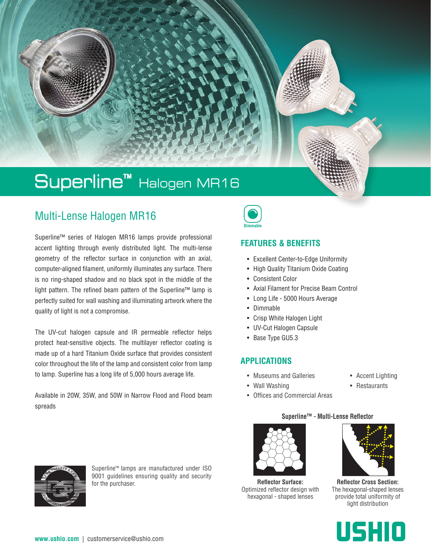# Superline™ Halogen MR16

# Multi-Lense Halogen MR16

Superline™ series of Halogen MR16 lamps provide professional accent lighting through evenly distributed light. The multi-lense geometry of the reflector surface in conjunction with an axial, computer-aligned filament, uniformly illuminates any surface. There is no ring-shaped shadow and no black spot in the middle of the light pattern. The refined beam pattern of the Superline™ lamp is perfectly suited for wall washing and illuminating artwork where the quality of light is not a compromise.

The UV-cut halogen capsule and IR permeable reflector helps protect heat-sensitive objects. The multilayer reflector coating is made up of a hard Titanium Oxide surface that provides consistent color throughout the life of the lamp and consistent color from lamp to lamp. Superline has a long life of 5,000 hours average life.

Available in 20W, 35W, and 50W in Narrow Flood and Flood beam spreads



### **FEATURES & BENEFITS**

- Excellent Center-to-Edge Uniformity
- High Quality Titanium Oxide Coating
- Consistent Color
- Axial Filament for Precise Beam Control
- Long Life 5000 Hours Average
- Dimmable
- Crisp White Halogen Light
- UV-Cut Halogen Capsule
- Base Type GU5.3

### **APPLICATIONS**

- Museums and Galleries
- Wall Washing
- Accent Lighting
- Restaurants
- Offices and Commercial Areas





Superline™ lamps are manufactured under ISO 9001 guidelines ensuring quality and security for the purchaser.

**Reflector Surface:** Optimized reflector design with

hexagonal - shaped lenses

**Reflector Cross Section:**

The hexagonal-shaped lenses provide total uniformity of light distribution